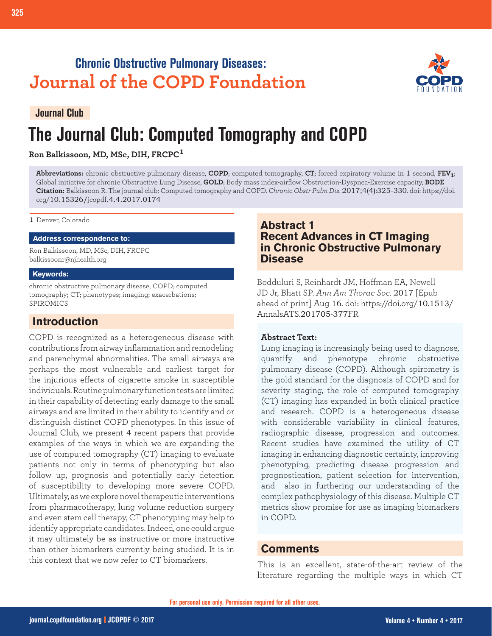## **Chronic Obstructive Pulmonary Diseases: Journal of the COPD Foundation**



## **Journal Club**

# **The Journal Club: Computed Tomography and COPD**

**Ron Balkissoon, MD, MSc, DIH, FRCPC<sup>1</sup>**

**Abbreviations:** chronic obstructive pulmonary disease, **COPD**; computed tomography, **CT**; forced expiratory volume in 1 second, **FEV1**; Global initiative for chronic Obstructive Lung Disease, **GOLD**; Body mass index-airflow Obstruction-Dyspnea-Exercise capacity, **BODE Citation:** Balkissoon R. The journal club: Computed tomography and COPD. *Chronic Obstr Pulm Dis*. 2017;4(4):325-330. doi: https://doi. org/10.15326/jcopdf.4.4.2017.0174

1 Denver, Colorado

#### **Address correspondence to:**

Ron Balkissoon, MD, MSc, DIH, FRCPC balkissoonr@njhealth.org

#### **Keywords:**

chronic obstructive pulmonary disease; COPD; computed tomography; CT; phenotypes; imaging; exacerbations; SPIROMICS

## **Introduction**

COPD is recognized as a heterogeneous disease with contributions from airway inflammation and remodeling and parenchymal abnormalities. The small airways are perhaps the most vulnerable and earliest target for the injurious effects of cigarette smoke in susceptible individuals. Routine pulmonary function tests are limited in their capability of detecting early damage to the small airways and are limited in their ability to identify and or distinguish distinct COPD phenotypes. In this issue of Journal Club, we present 4 recent papers that provide examples of the ways in which we are expanding the use of computed tomography (CT) imaging to evaluate patients not only in terms of phenotyping but also follow up, prognosis and potentially early detection of susceptibility to developing more severe COPD. Ultimately, as we explore novel therapeutic interventions from pharmacotherapy, lung volume reduction surgery and even stem cell therapy, CT phenotyping may help to identify appropriate candidates. Indeed, one could argue it may ultimately be as instructive or more instructive than other biomarkers currently being studied. It is in this context that we now refer to CT biomarkers.

## **Abstract 1 Recent Advances in CT Imaging in Chronic Obstructive Pulmonary Disease**

Bodduluri S, Reinhardt JM, Hoffman EA, Newell JD Jr, Bhatt SP. *Ann Am Thorac Soc*. 2017 [Epub ahead of print] Aug 16. doi: https://doi.org/10.1513/ AnnalsATS.201705-377FR

#### **Abstract Text:**

Lung imaging is increasingly being used to diagnose, quantify and phenotype chronic obstructive pulmonary disease (COPD). Although spirometry is the gold standard for the diagnosis of COPD and for severity staging, the role of computed tomography (CT) imaging has expanded in both clinical practice and research. COPD is a heterogeneous disease with considerable variability in clinical features, radiographic disease, progression and outcomes. Recent studies have examined the utility of CT imaging in enhancing diagnostic certainty, improving phenotyping, predicting disease progression and prognostication, patient selection for intervention, and also in furthering our understanding of the complex pathophysiology of this disease. Multiple CT metrics show promise for use as imaging biomarkers in COPD.

## **Comments**

This is an excellent, state-of-the-art review of the literature regarding the multiple ways in which CT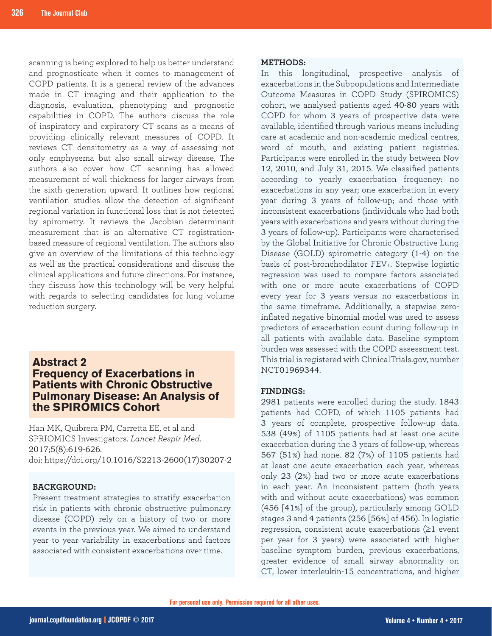scanning is being explored to help us better understand and prognosticate when it comes to management of COPD patients. It is a general review of the advances made in CT imaging and their application to the diagnosis, evaluation, phenotyping and prognostic capabilities in COPD. The authors discuss the role of inspiratory and expiratory CT scans as a means of providing clinically relevant measures of COPD. It reviews CT densitometry as a way of assessing not only emphysema but also small airway disease. The authors also cover how CT scanning has allowed measurement of wall thickness for larger airways from the sixth generation upward. It outlines how regional ventilation studies allow the detection of significant regional variation in functional loss that is not detected by spirometry. It reviews the Jacobian determinant measurement that is an alternative CT registrationbased measure of regional ventilation. The authors also give an overview of the limitations of this technology as well as the practical considerations and discuss the clinical applications and future directions. For instance, they discuss how this technology will be very helpful with regards to selecting candidates for lung volume reduction surgery.

## **Abstract 2 Frequency of Exacerbations in Patients with Chronic Obstructive Pulmonary Disease: An Analysis of the SPIROMICS Cohort**

Han MK, Quibrera PM, Carretta EE, et al and SPRIOMICS Investigators. *Lancet Respir Med*. 2017;5(8):619-626. doi: https://doi.org/10.1016/S2213-2600(17)30207-2

#### **BACKGROUND:**

Present treatment strategies to stratify exacerbation risk in patients with chronic obstructive pulmonary disease (COPD) rely on a history of two or more events in the previous year. We aimed to understand year to year variability in exacerbations and factors associated with consistent exacerbations over time.

#### **METHODS:**

In this longitudinal, prospective analysis of exacerbations in the Subpopulations and Intermediate Outcome Measures in COPD Study (SPIROMICS) cohort, we analysed patients aged 40-80 years with COPD for whom 3 years of prospective data were available, identified through various means including care at academic and non-academic medical centres, word of mouth, and existing patient registries. Participants were enrolled in the study between Nov 12, 2010, and July 31, 2015. We classified patients according to yearly exacerbation frequency: no exacerbations in any year; one exacerbation in every year during 3 years of follow-up; and those with inconsistent exacerbations (individuals who had both years with exacerbations and years without during the 3 years of follow-up). Participants were characterised by the Global Initiative for Chronic Obstructive Lung Disease (GOLD) spirometric category (1-4) on the basis of post-bronchodilator FEV<sub>1</sub>. Stepwise logistic regression was used to compare factors associated with one or more acute exacerbations of COPD every year for 3 years versus no exacerbations in the same timeframe. Additionally, a stepwise zeroinflated negative binomial model was used to assess predictors of exacerbation count during follow-up in all patients with available data. Baseline symptom burden was assessed with the COPD assessment test. This trial is registered with ClinicalTrials.gov, number NCT01969344.

#### **FINDINGS:**

2981 patients were enrolled during the study. 1843 patients had COPD, of which 1105 patients had 3 years of complete, prospective follow-up data. 538 (49%) of 1105 patients had at least one acute exacerbation during the 3 years of follow-up, whereas 567 (51%) had none. 82 (7%) of 1105 patients had at least one acute exacerbation each year, whereas only 23 (2%) had two or more acute exacerbations in each year. An inconsistent pattern (both years with and without acute exacerbations) was common (456 [41%] of the group), particularly among GOLD stages 3 and 4 patients (256 [56%] of 456). In logistic regression, consistent acute exacerbations  $(≥1$  event per year for 3 years) were associated with higher baseline symptom burden, previous exacerbations, greater evidence of small airway abnormality on CT, lower interleukin-15 concentrations, and higher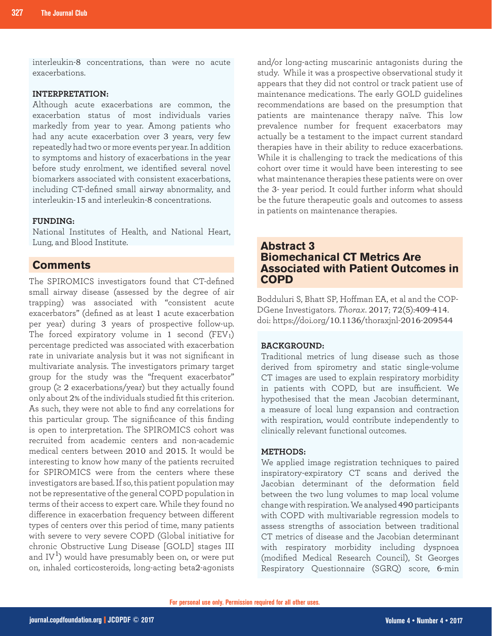interleukin-8 concentrations, than were no acute exacerbations.

#### **INTERPRETATION:**

Although acute exacerbations are common, the exacerbation status of most individuals varies markedly from year to year. Among patients who had any acute exacerbation over 3 years, very few repeatedly had two or more events per year. In addition to symptoms and history of exacerbations in the year before study enrolment, we identified several novel biomarkers associated with consistent exacerbations, including CT-defined small airway abnormality, and interleukin-15 and interleukin-8 concentrations.

#### **FUNDING:**

National Institutes of Health, and National Heart, Lung, and Blood Institute.

## **Comments**

The SPIROMICS investigators found that CT-defined small airway disease (assessed by the degree of air trapping) was associated with "consistent acute exacerbators" (defined as at least 1 acute exacerbation per year) during 3 years of prospective follow-up. The forced expiratory volume in 1 second  $(FEV_1)$ percentage predicted was associated with exacerbation rate in univariate analysis but it was not significant in multivariate analysis. The investigators primary target group for the study was the "frequent exacerbator" group  $(≥ 2$  exacerbations/year) but they actually found only about 2% of the individuals studied fit this criterion. As such, they were not able to find any correlations for this particular group. The significance of this finding is open to interpretation. The SPIROMICS cohort was recruited from academic centers and non-academic medical centers between 2010 and 2015. It would be interesting to know how many of the patients recruited for SPIROMICS were from the centers where these investigators are based. If so, this patient population may not be representative of the general COPD population in terms of their access to expert care. While they found no difference in exacerbation frequency between different types of centers over this period of time, many patients with severe to very severe COPD (Global initiative for chronic Obstructive Lung Disease [GOLD] stages III and  $IV<sup>1</sup>$ ) would have presumably been on, or were put on, inhaled corticosteroids, long-acting beta2-agonists and/or long-acting muscarinic antagonists during the study. While it was a prospective observational study it appears that they did not control or track patient use of maintenance medications. The early GOLD guidelines recommendations are based on the presumption that patients are maintenance therapy naïve. This low prevalence number for frequent exacerbators may actually be a testament to the impact current standard therapies have in their ability to reduce exacerbations. While it is challenging to track the medications of this cohort over time it would have been interesting to see what maintenance therapies these patients were on over the 3- year period. It could further inform what should be the future therapeutic goals and outcomes to assess in patients on maintenance therapies.

## **Abstract 3 Biomechanical CT Metrics Are Associated with Patient Outcomes in COPD**

Bodduluri S, Bhatt SP, Hoffman EA, et al and the COP-DGene Investigators. *Thorax*. 2017; 72(5):409-414. doi: https://doi.org/10.1136/thoraxjnl-2016-209544

#### **BACKGROUND:**

Traditional metrics of lung disease such as those derived from spirometry and static single-volume CT images are used to explain respiratory morbidity in patients with COPD, but are insufficient. We hypothesised that the mean Jacobian determinant, a measure of local lung expansion and contraction with respiration, would contribute independently to clinically relevant functional outcomes.

#### **METHODS:**

We applied image registration techniques to paired inspiratory-expiratory CT scans and derived the Jacobian determinant of the deformation field between the two lung volumes to map local volume change with respiration. We analysed 490 participants with COPD with multivariable regression models to assess strengths of association between traditional CT metrics of disease and the Jacobian determinant with respiratory morbidity including dyspnoea (modified Medical Research Council), St Georges Respiratory Questionnaire (SGRQ) score, 6-min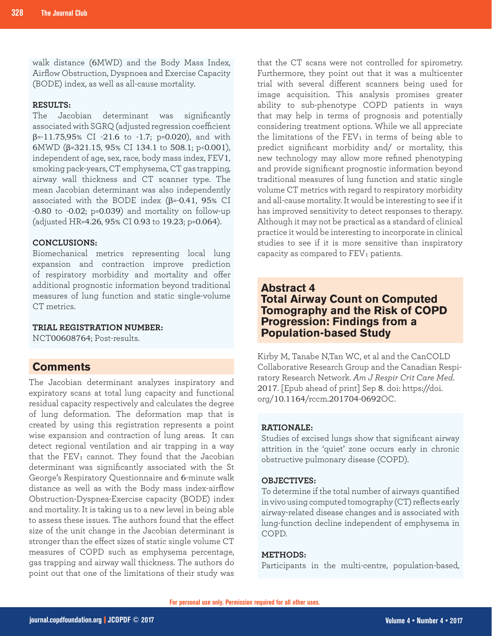walk distance (6MWD) and the Body Mass Index, Airflow Obstruction, Dyspnoea and Exercise Capacity (BODE) index, as well as all-cause mortality.

#### **RESULTS:**

The Jacobian determinant was significantly associated with SGRQ (adjusted regression coefficient β=-11.75,95% CI -21.6 to -1.7; p=0.020), and with 6MWD ( $\beta$ =321.15, 95% CI 134.1 to 508.1; p<0.001), independent of age, sex, race, body mass index, FEV1, smoking pack-years, CT emphysema, CT gas trapping, airway wall thickness and CT scanner type. The mean Jacobian determinant was also independently associated with the BODE index (β=-0.41, 95% CI -0.80 to -0.02; p=0.039) and mortality on follow-up (adjusted HR=4.26, 95% CI 0.93 to 19.23; p=0.064).

#### **CONCLUSIONS:**

Biomechanical metrics representing local lung expansion and contraction improve prediction of respiratory morbidity and mortality and offer additional prognostic information beyond traditional measures of lung function and static single-volume CT metrics.

#### **TRIAL REGISTRATION NUMBER:**

NCT00608764; Post-results.

## **Comments**

The Jacobian determinant analyzes inspiratory and expiratory scans at total lung capacity and functional residual capacity respectively and calculates the degree of lung deformation. The deformation map that is created by using this registration represents a point wise expansion and contraction of lung areas. It can detect regional ventilation and air trapping in a way that the  $FEV_1$  cannot. They found that the Jacobian determinant was significantly associated with the St George's Respiratory Questionnaire and 6-minute walk distance as well as with the Body mass index-airflow Obstruction-Dyspnea-Exercise capacity (BODE) index and mortality. It is taking us to a new level in being able to assess these issues. The authors found that the effect size of the unit change in the Jacobian determinant is stronger than the effect sizes of static single volume CT measures of COPD such as emphysema percentage, gas trapping and airway wall thickness. The authors do point out that one of the limitations of their study was

that the CT scans were not controlled for spirometry. Furthermore, they point out that it was a multicenter trial with several different scanners being used for image acquisition. This analysis promises greater ability to sub-phenotype COPD patients in ways that may help in terms of prognosis and potentially considering treatment options. While we all appreciate the limitations of the  $FEV<sub>1</sub>$  in terms of being able to predict significant morbidity and/ or mortality, this new technology may allow more refined phenotyping and provide significant prognostic information beyond traditional measures of lung function and static single volume CT metrics with regard to respiratory morbidity and all-cause mortality. It would be interesting to see if it has improved sensitivity to detect responses to therapy. Although it may not be practical as a standard of clinical practice it would be interesting to incorporate in clinical studies to see if it is more sensitive than inspiratory capacity as compared to FEV<sub>1</sub> patients.

## **Abstract 4 Total Airway Count on Computed Tomography and the Risk of COPD Progression: Findings from a Population-based Study**

Kirby M, Tanabe N,Tan WC, et al and the CanCOLD Collaborative Research Group and the Canadian Respiratory Research Network. *Am J Respir Crit Care Med*. 2017. [Epub ahead of print] Sep 8. doi: https://doi. org/10.1164/rccm.201704-0692OC.

#### **RATIONALE:**

Studies of excised lungs show that significant airway attrition in the 'quiet' zone occurs early in chronic obstructive pulmonary disease (COPD).

#### **OBJECTIVES:**

To determine if the total number of airways quantified in vivo using computed tomography (CT) reflects early airway-related disease changes and is associated with lung-function decline independent of emphysema in COPD.

#### **METHODS:**

Participants in the multi-centre, population-based,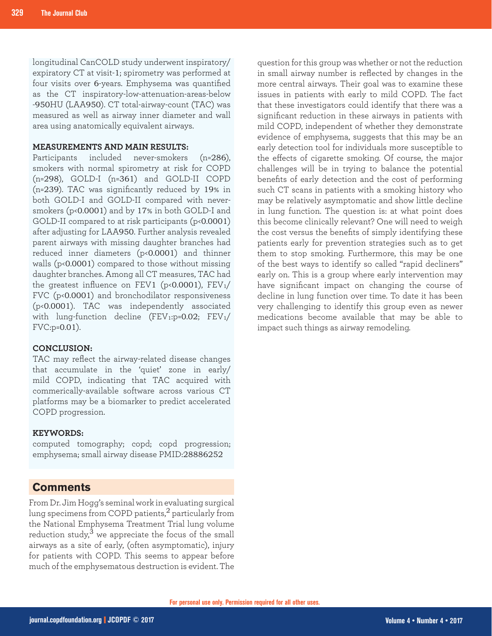longitudinal CanCOLD study underwent inspiratory/ expiratory CT at visit-1; spirometry was performed at four visits over 6-years. Emphysema was quantified as the CT inspiratory-low-attenuation-areas-below -950HU (LAA950). CT total-airway-count (TAC) was measured as well as airway inner diameter and wall area using anatomically equivalent airways.

#### **MEASUREMENTS AND MAIN RESULTS:**

Participants included never-smokers (n=286), smokers with normal spirometry at risk for COPD (n=298), GOLD-I (n=361) and GOLD-II COPD (n=239). TAC was significantly reduced by 19% in both GOLD-I and GOLD-II compared with neversmokers (p<0.0001) and by 17% in both GOLD-I and GOLD-II compared to at risk participants (p<0.0001) after adjusting for LAA950. Further analysis revealed parent airways with missing daughter branches had reduced inner diameters (p<0.0001) and thinner walls (p<0.0001) compared to those without missing daughter branches. Among all CT measures, TAC had the greatest influence on FEV1 ( $p<0.0001$ ), FEV<sub>1</sub>/ FVC (p<0.0001) and bronchodilator responsiveness (p<0.0001). TAC was independently associated with lung-function decline (FEV1:p=0.02; FEV1/ FVC:p=0.01).

#### **CONCLUSION:**

TAC may reflect the airway-related disease changes that accumulate in the 'quiet' zone in early/ mild COPD, indicating that TAC acquired with commerically-available software across various CT platforms may be a biomarker to predict accelerated COPD progression.

#### **KEYWORDS:**

computed tomography; copd; copd progression; emphysema; small airway disease PMID:28886252

### **Comments**

From Dr. Jim Hogg's seminal work in evaluating surgical lung specimens from COPD patients, $^2$  particularly from the National Emphysema Treatment Trial lung volume reduction study, $3$  we appreciate the focus of the small airways as a site of early, (often asymptomatic), injury for patients with COPD. This seems to appear before much of the emphysematous destruction is evident. The

question for this group was whether or not the reduction in small airway number is reflected by changes in the more central airways. Their goal was to examine these issues in patients with early to mild COPD. The fact that these investigators could identify that there was a significant reduction in these airways in patients with mild COPD, independent of whether they demonstrate evidence of emphysema, suggests that this may be an early detection tool for individuals more susceptible to the effects of cigarette smoking. Of course, the major challenges will be in trying to balance the potential benefits of early detection and the cost of performing such CT scans in patients with a smoking history who may be relatively asymptomatic and show little decline in lung function. The question is: at what point does this become clinically relevant? One will need to weigh the cost versus the benefits of simply identifying these patients early for prevention strategies such as to get them to stop smoking. Furthermore, this may be one of the best ways to identify so called "rapid decliners" early on. This is a group where early intervention may have significant impact on changing the course of decline in lung function over time. To date it has been very challenging to identify this group even as newer medications become available that may be able to impact such things as airway remodeling.